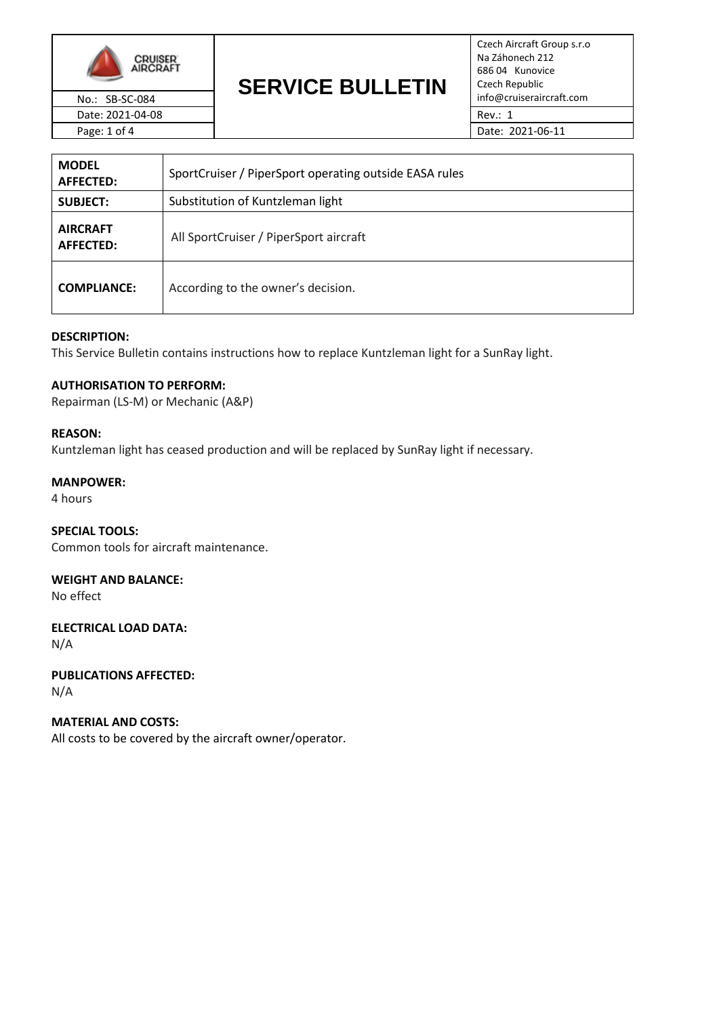

# **SERVICE BULLETIN** No.: SB-SC-084 **EXAMPLE DULLE INT** info@cruiseraircraft.com

Czech Aircraft Group s.r.o Na Záhonech 212 686 04 Kunovice Czech Republic

| <b>MODEL</b><br>AFFECTED:    | SportCruiser / PiperSport operating outside EASA rules |  |
|------------------------------|--------------------------------------------------------|--|
| <b>SUBJECT:</b>              | Substitution of Kuntzleman light                       |  |
| <b>AIRCRAFT</b><br>AFFECTED: | All SportCruiser / PiperSport aircraft                 |  |
| <b>COMPLIANCE:</b>           | According to the owner's decision.                     |  |

# **DESCRIPTION:**

This Service Bulletin contains instructions how to replace Kuntzleman light for a SunRay light.

# **AUTHORISATION TO PERFORM:**

Repairman (LS-M) or Mechanic (A&P)

#### **REASON:**

Kuntzleman light has ceased production and will be replaced by SunRay light if necessary.

#### **MANPOWER:**

4 hours

# **SPECIAL TOOLS:**

Common tools for aircraft maintenance.

# **WEIGHT AND BALANCE:**

No effect

#### **ELECTRICAL LOAD DATA:** N/A

**PUBLICATIONS AFFECTED:** N/A

# **MATERIAL AND COSTS:**

All costs to be covered by the aircraft owner/operator.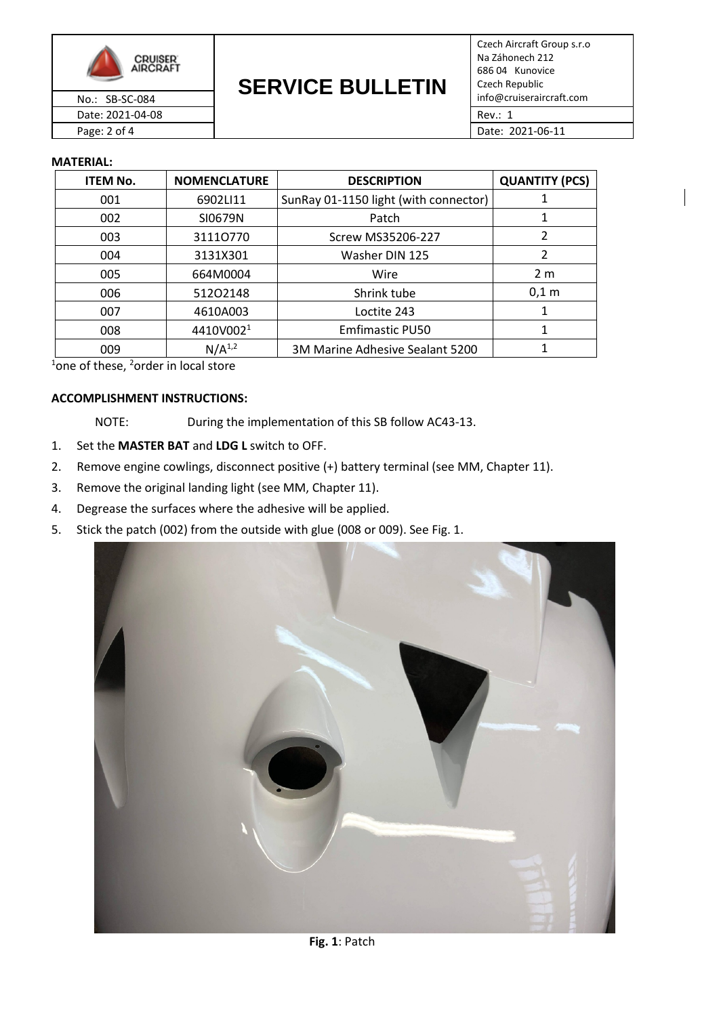

**SERVICE BULLETIN** No.: SB-SC-084 **EXAMPLE DULLE INT** info@cruiseraircraft.com

Czech Aircraft Group s.r.o Na Záhonech 212 686 04 Kunovice Czech Republic Date: 2021-04-08 Rev.: 1

Page: 2 of 4 Date: 2021-06-11

### **MATERIAL:**

| <b>ITEM No.</b> | <b>NOMENCLATURE</b>   | <b>DESCRIPTION</b>                    | <b>QUANTITY (PCS)</b> |
|-----------------|-----------------------|---------------------------------------|-----------------------|
| 001             | 6902LI11              | SunRay 01-1150 light (with connector) |                       |
| 002             | SI0679N               | Patch                                 | 1                     |
| 003             | 31110770              | Screw MS35206-227                     | 2                     |
| 004             | 3131X301              | Washer DIN 125                        | $\overline{2}$        |
| 005             | 664M0004              | Wire                                  | 2 <sub>m</sub>        |
| 006             | 51202148              | Shrink tube                           | $0,1$ m               |
| 007             | 4610A003              | Loctite 243                           | 1                     |
| 008             | 4410V002 <sup>1</sup> | <b>Emfimastic PU50</b>                |                       |
| 009             | $N/A^{1,2}$           | 3M Marine Adhesive Sealant 5200       |                       |

 $1$ one of these,  $2$ order in local store

### **ACCOMPLISHMENT INSTRUCTIONS:**

NOTE: During the implementation of this SB follow AC43-13.

- 1. Set the **MASTER BAT** and **LDG L** switch to OFF.
- 2. Remove engine cowlings, disconnect positive (+) battery terminal (see MM, Chapter 11).
- 3. Remove the original landing light (see MM, Chapter 11).
- 4. Degrease the surfaces where the adhesive will be applied.
- 5. Stick the patch (002) from the outside with glue (008 or 009). See Fig. 1.

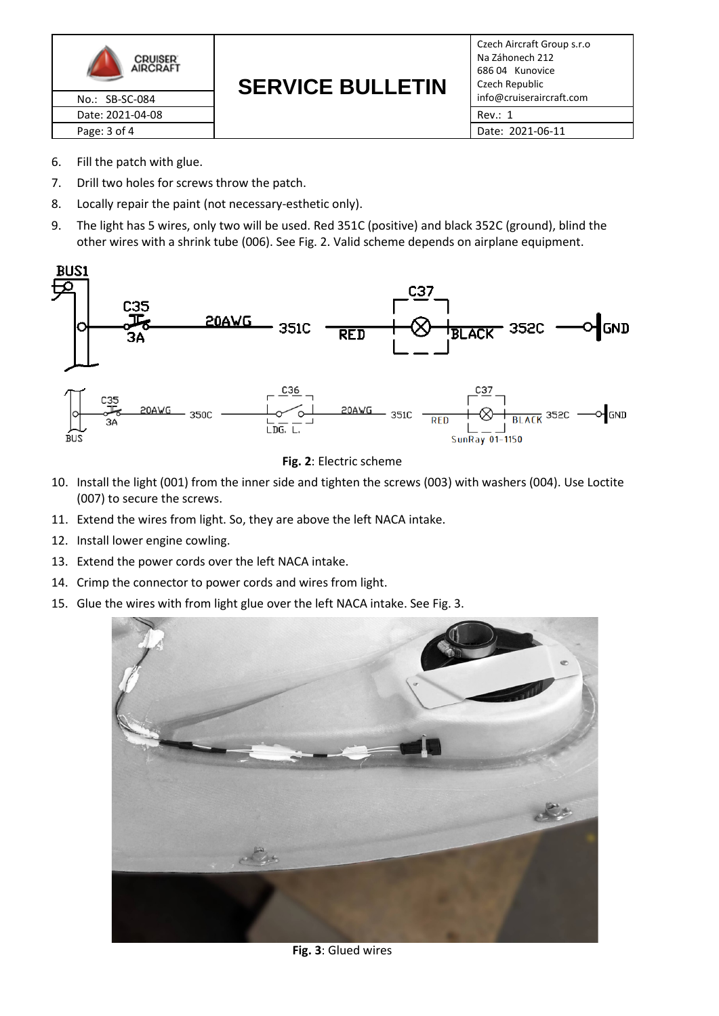

#### **SERVICE BULLETIN** No.: SB-SC-084 **CLIVICE BULLE IIIV** info@cruiseraircraft.com

Czech Aircraft Group s.r.o Na Záhonech 212 686 04 Kunovice Czech Republic Date: 2021-04-08 **Rev.: 1** 

Page: 3 of 4 Date: 2021-06-11

- 6. Fill the patch with glue.
- 7. Drill two holes for screws throw the patch.
- 8. Locally repair the paint (not necessary-esthetic only).
- 9. The light has 5 wires, only two will be used. Red 351C (positive) and black 352C (ground), blind the other wires with a shrink tube (006). See Fig. 2. Valid scheme depends on airplane equipment.





- 10. Install the light (001) from the inner side and tighten the screws (003) with washers (004). Use Loctite (007) to secure the screws.
- 11. Extend the wires from light. So, they are above the left NACA intake.
- 12. Install lower engine cowling.
- 13. Extend the power cords over the left NACA intake.
- 14. Crimp the connector to power cords and wires from light.
- 15. Glue the wires with from light glue over the left NACA intake. See Fig. 3.



**Fig. 3**: Glued wires